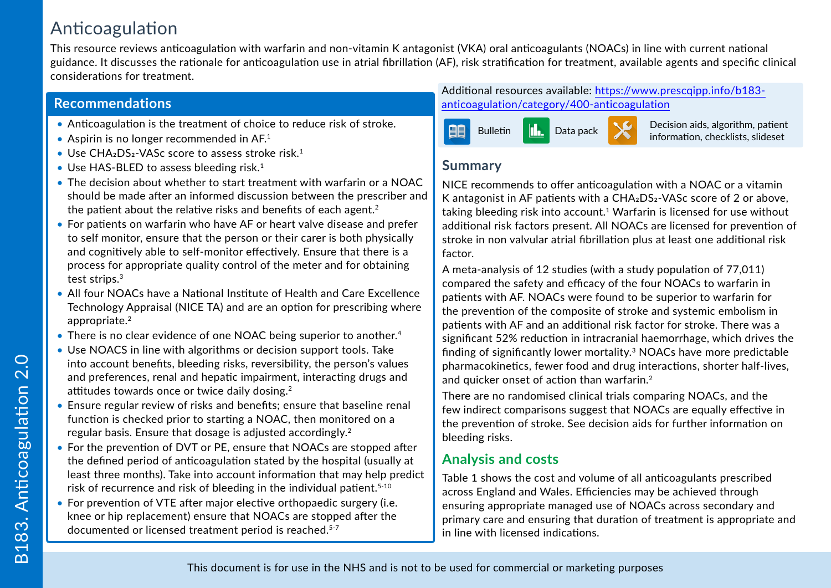# Anticoagulation

This resource reviews anticoagulation with warfarin and non-vitamin K antagonist (VKA) oral anticoagulants (NOACs) in line with current national guidance. It discusses the rationale for anticoagulation use in atrial fibrillation (AF), risk stratification for treatment, available agents and specific clinical considerations for treatment.

## **Recommendations**

- Anticoagulation is the treatment of choice to reduce risk of stroke.
- Aspirin is no longer recommended in  $AF<sup>1</sup>$
- Use  $CHA<sub>2</sub>DS<sub>2</sub>$ -VASc score to assess stroke risk.<sup>1</sup>
- Use HAS-BLED to assess bleeding risk.<sup>1</sup>
- The decision about whether to start treatment with warfarin or a NOAC should be made after an informed discussion between the prescriber and the patient about the relative risks and benefits of each agent.<sup>2</sup>
- For patients on warfarin who have AF or heart valve disease and prefer to self monitor, ensure that the person or their carer is both physically and cognitively able to self-monitor effectively. Ensure that there is a process for appropriate quality control of the meter and for obtaining test strips.<sup>3</sup>
- All four NOACs have a National Institute of Health and Care Excellence Technology Appraisal (NICE TA) and are an option for prescribing where appropriate.<sup>2</sup>
- There is no clear evidence of one NOAC being superior to another.<sup>4</sup>
- Use NOACS in line with algorithms or decision support tools. Take into account benefits, bleeding risks, reversibility, the person's values and preferences, renal and hepatic impairment, interacting drugs and attitudes towards once or twice daily dosing.<sup>2</sup>
- Ensure regular review of risks and benefits; ensure that baseline renal function is checked prior to starting a NOAC, then monitored on a regular basis. Ensure that dosage is adjusted accordingly.<sup>2</sup>
- For the prevention of DVT or PE, ensure that NOACs are stopped after the defined period of anticoagulation stated by the hospital (usually at least three months). Take into account information that may help predict risk of recurrence and risk of bleeding in the individual patient.<sup>5-10</sup>
- For prevention of VTE after major elective orthopaedic surgery (i.e. knee or hip replacement) ensure that NOACs are stopped after the documented or licensed treatment period is reached.<sup>5-7</sup>

Additional resources available: [https://www.prescqipp.info/b183](https://www.prescqipp.info/b183-anticoagulation/category/400-anticoagulation) [anticoagulation/category/400-anticoagulation](https://www.prescqipp.info/b183-anticoagulation/category/400-anticoagulation)



Data pack **Decision aids, algorithm, patient** 

## **Summary**

NICE recommends to offer anticoagulation with a NOAC or a vitamin K antagonist in AF patients with a CHA<sub>2</sub>DS<sub>2</sub>-VAS<sub>c</sub> score of 2 or above, taking bleeding risk into account.<sup>1</sup> Warfarin is licensed for use without additional risk factors present. All NOACs are licensed for prevention of stroke in non valvular atrial fibrillation plus at least one additional risk factor.

A meta-analysis of 12 studies (with a study population of 77,011) compared the safety and efficacy of the four NOACs to warfarin in patients with AF. NOACs were found to be superior to warfarin for the prevention of the composite of stroke and systemic embolism in patients with AF and an additional risk factor for stroke. There was a significant 52% reduction in intracranial haemorrhage, which drives the finding of significantly lower mortality.3 NOACs have more predictable pharmacokinetics, fewer food and drug interactions, shorter half-lives, and quicker onset of action than warfarin.<sup>2</sup>

There are no randomised clinical trials comparing NOACs, and the few indirect comparisons suggest that NOACs are equally effective in the prevention of stroke. See decision aids for further information on bleeding risks.

# **Analysis and costs**

Table 1 shows the cost and volume of all anticoagulants prescribed across England and Wales. Efficiencies may be achieved through ensuring appropriate managed use of NOACs across secondary and primary care and ensuring that duration of treatment is appropriate and in line with licensed indications.